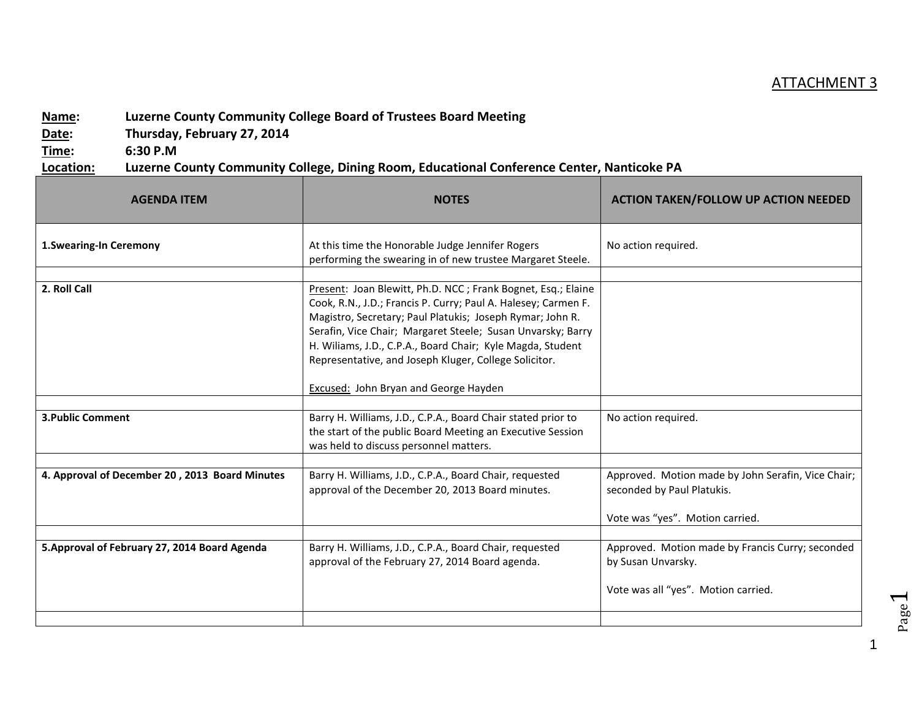## ATTACHMENT 3

## **Name: Luzerne County Community College Board of Trustees Board Meeting**

**Date: Thursday, February 27, 2014**

**Time: 6:30 P.M**

**Location: Luzerne County Community College, Dining Room, Educational Conference Center, Nanticoke PA**

| <b>AGENDA ITEM</b>                             | <b>NOTES</b>                                                                                                                                                                                                                                                                                                                                                                                                                      | <b>ACTION TAKEN/FOLLOW UP ACTION NEEDED</b>                                                                         |
|------------------------------------------------|-----------------------------------------------------------------------------------------------------------------------------------------------------------------------------------------------------------------------------------------------------------------------------------------------------------------------------------------------------------------------------------------------------------------------------------|---------------------------------------------------------------------------------------------------------------------|
| <b>1.Swearing-In Ceremony</b>                  | At this time the Honorable Judge Jennifer Rogers<br>performing the swearing in of new trustee Margaret Steele.                                                                                                                                                                                                                                                                                                                    | No action required.                                                                                                 |
|                                                |                                                                                                                                                                                                                                                                                                                                                                                                                                   |                                                                                                                     |
| 2. Roll Call                                   | Present: Joan Blewitt, Ph.D. NCC; Frank Bognet, Esq.; Elaine<br>Cook, R.N., J.D.; Francis P. Curry; Paul A. Halesey; Carmen F.<br>Magistro, Secretary; Paul Platukis; Joseph Rymar; John R.<br>Serafin, Vice Chair; Margaret Steele; Susan Unvarsky; Barry<br>H. Wiliams, J.D., C.P.A., Board Chair; Kyle Magda, Student<br>Representative, and Joseph Kluger, College Solicitor.<br><b>Excused:</b> John Bryan and George Hayden |                                                                                                                     |
|                                                |                                                                                                                                                                                                                                                                                                                                                                                                                                   |                                                                                                                     |
| <b>3. Public Comment</b>                       | Barry H. Williams, J.D., C.P.A., Board Chair stated prior to<br>the start of the public Board Meeting an Executive Session<br>was held to discuss personnel matters.                                                                                                                                                                                                                                                              | No action required.                                                                                                 |
|                                                |                                                                                                                                                                                                                                                                                                                                                                                                                                   |                                                                                                                     |
| 4. Approval of December 20, 2013 Board Minutes | Barry H. Williams, J.D., C.P.A., Board Chair, requested<br>approval of the December 20, 2013 Board minutes.                                                                                                                                                                                                                                                                                                                       | Approved. Motion made by John Serafin, Vice Chair;<br>seconded by Paul Platukis.<br>Vote was "yes". Motion carried. |
|                                                |                                                                                                                                                                                                                                                                                                                                                                                                                                   |                                                                                                                     |
| 5. Approval of February 27, 2014 Board Agenda  | Barry H. Williams, J.D., C.P.A., Board Chair, requested<br>approval of the February 27, 2014 Board agenda.                                                                                                                                                                                                                                                                                                                        | Approved. Motion made by Francis Curry; seconded<br>by Susan Unvarsky.<br>Vote was all "yes". Motion carried.       |
|                                                |                                                                                                                                                                                                                                                                                                                                                                                                                                   |                                                                                                                     |

Page  $\overline{\phantom{0}}$ 

1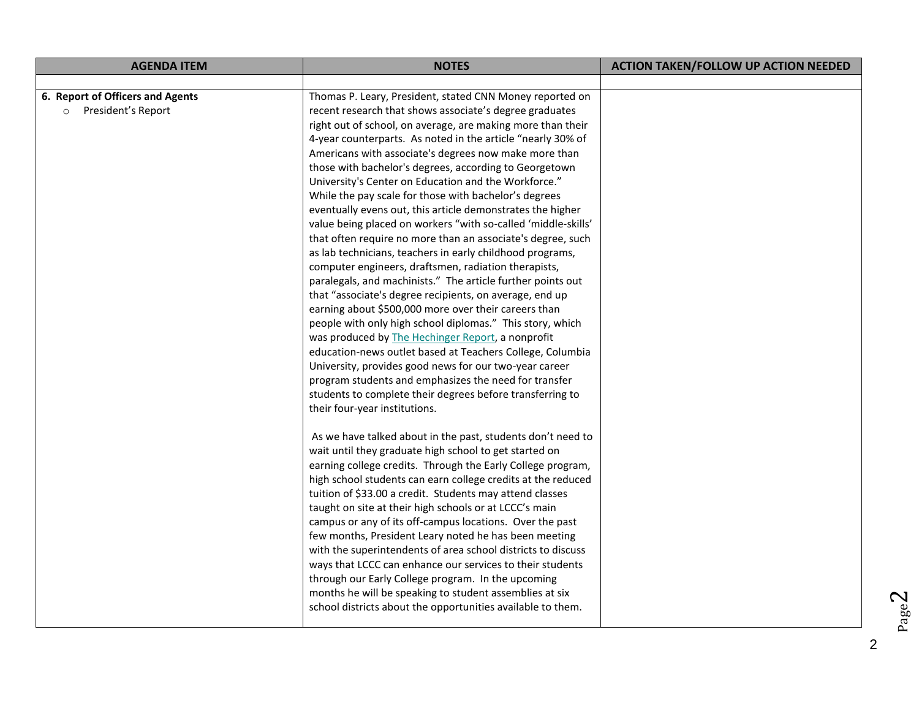| <b>AGENDA ITEM</b>                                       | <b>NOTES</b>                                                                                                                                                                                                                                                                                                                                                                                                                                                                                                                                                                                                                                                                                                                                                                                                                                                                                                                                                                                                                                                                                                                                                                                                                                                                                                                                                                               | <b>ACTION TAKEN/FOLLOW UP ACTION NEEDED</b> |
|----------------------------------------------------------|--------------------------------------------------------------------------------------------------------------------------------------------------------------------------------------------------------------------------------------------------------------------------------------------------------------------------------------------------------------------------------------------------------------------------------------------------------------------------------------------------------------------------------------------------------------------------------------------------------------------------------------------------------------------------------------------------------------------------------------------------------------------------------------------------------------------------------------------------------------------------------------------------------------------------------------------------------------------------------------------------------------------------------------------------------------------------------------------------------------------------------------------------------------------------------------------------------------------------------------------------------------------------------------------------------------------------------------------------------------------------------------------|---------------------------------------------|
|                                                          |                                                                                                                                                                                                                                                                                                                                                                                                                                                                                                                                                                                                                                                                                                                                                                                                                                                                                                                                                                                                                                                                                                                                                                                                                                                                                                                                                                                            |                                             |
| 6. Report of Officers and Agents<br>o President's Report | Thomas P. Leary, President, stated CNN Money reported on<br>recent research that shows associate's degree graduates<br>right out of school, on average, are making more than their<br>4-year counterparts. As noted in the article "nearly 30% of<br>Americans with associate's degrees now make more than<br>those with bachelor's degrees, according to Georgetown<br>University's Center on Education and the Workforce."<br>While the pay scale for those with bachelor's degrees<br>eventually evens out, this article demonstrates the higher<br>value being placed on workers "with so-called 'middle-skills'<br>that often require no more than an associate's degree, such<br>as lab technicians, teachers in early childhood programs,<br>computer engineers, draftsmen, radiation therapists,<br>paralegals, and machinists." The article further points out<br>that "associate's degree recipients, on average, end up<br>earning about \$500,000 more over their careers than<br>people with only high school diplomas." This story, which<br>was produced by The Hechinger Report, a nonprofit<br>education-news outlet based at Teachers College, Columbia<br>University, provides good news for our two-year career<br>program students and emphasizes the need for transfer<br>students to complete their degrees before transferring to<br>their four-year institutions. |                                             |
|                                                          | As we have talked about in the past, students don't need to<br>wait until they graduate high school to get started on<br>earning college credits. Through the Early College program,<br>high school students can earn college credits at the reduced<br>tuition of \$33.00 a credit. Students may attend classes<br>taught on site at their high schools or at LCCC's main<br>campus or any of its off-campus locations. Over the past<br>few months, President Leary noted he has been meeting<br>with the superintendents of area school districts to discuss<br>ways that LCCC can enhance our services to their students<br>through our Early College program. In the upcoming<br>months he will be speaking to student assemblies at six<br>school districts about the opportunities available to them.                                                                                                                                                                                                                                                                                                                                                                                                                                                                                                                                                                               |                                             |

Page  $\boldsymbol{\sim}$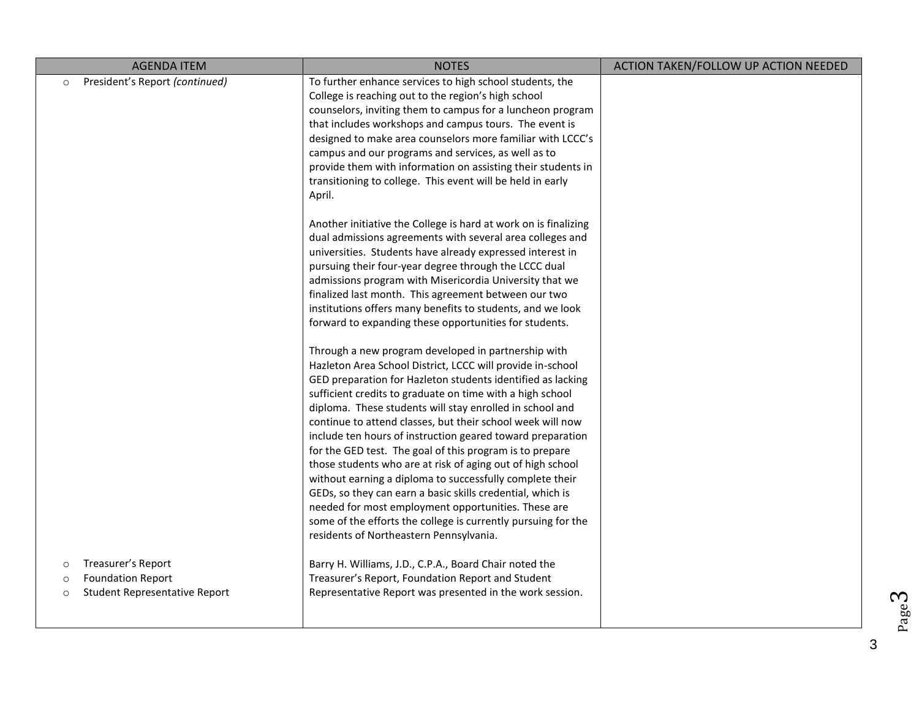| <b>AGENDA ITEM</b>                                                                                                      | <b>NOTES</b>                                                                                                                                                                                                                                                                                                                                                                                                                                                                                                                                                                                                                                                                                                                                                                                                      | ACTION TAKEN/FOLLOW UP ACTION NEEDED |
|-------------------------------------------------------------------------------------------------------------------------|-------------------------------------------------------------------------------------------------------------------------------------------------------------------------------------------------------------------------------------------------------------------------------------------------------------------------------------------------------------------------------------------------------------------------------------------------------------------------------------------------------------------------------------------------------------------------------------------------------------------------------------------------------------------------------------------------------------------------------------------------------------------------------------------------------------------|--------------------------------------|
| President's Report (continued)<br>$\circ$                                                                               | To further enhance services to high school students, the<br>College is reaching out to the region's high school<br>counselors, inviting them to campus for a luncheon program<br>that includes workshops and campus tours. The event is<br>designed to make area counselors more familiar with LCCC's<br>campus and our programs and services, as well as to<br>provide them with information on assisting their students in<br>transitioning to college. This event will be held in early                                                                                                                                                                                                                                                                                                                        |                                      |
|                                                                                                                         | April.<br>Another initiative the College is hard at work on is finalizing<br>dual admissions agreements with several area colleges and<br>universities. Students have already expressed interest in<br>pursuing their four-year degree through the LCCC dual<br>admissions program with Misericordia University that we<br>finalized last month. This agreement between our two<br>institutions offers many benefits to students, and we look<br>forward to expanding these opportunities for students.                                                                                                                                                                                                                                                                                                           |                                      |
|                                                                                                                         | Through a new program developed in partnership with<br>Hazleton Area School District, LCCC will provide in-school<br>GED preparation for Hazleton students identified as lacking<br>sufficient credits to graduate on time with a high school<br>diploma. These students will stay enrolled in school and<br>continue to attend classes, but their school week will now<br>include ten hours of instruction geared toward preparation<br>for the GED test. The goal of this program is to prepare<br>those students who are at risk of aging out of high school<br>without earning a diploma to successfully complete their<br>GEDs, so they can earn a basic skills credential, which is<br>needed for most employment opportunities. These are<br>some of the efforts the college is currently pursuing for the |                                      |
| Treasurer's Report<br>$\circ$<br><b>Foundation Report</b><br>$\circ$<br><b>Student Representative Report</b><br>$\circ$ | residents of Northeastern Pennsylvania.<br>Barry H. Williams, J.D., C.P.A., Board Chair noted the<br>Treasurer's Report, Foundation Report and Student<br>Representative Report was presented in the work session.                                                                                                                                                                                                                                                                                                                                                                                                                                                                                                                                                                                                |                                      |

Page ო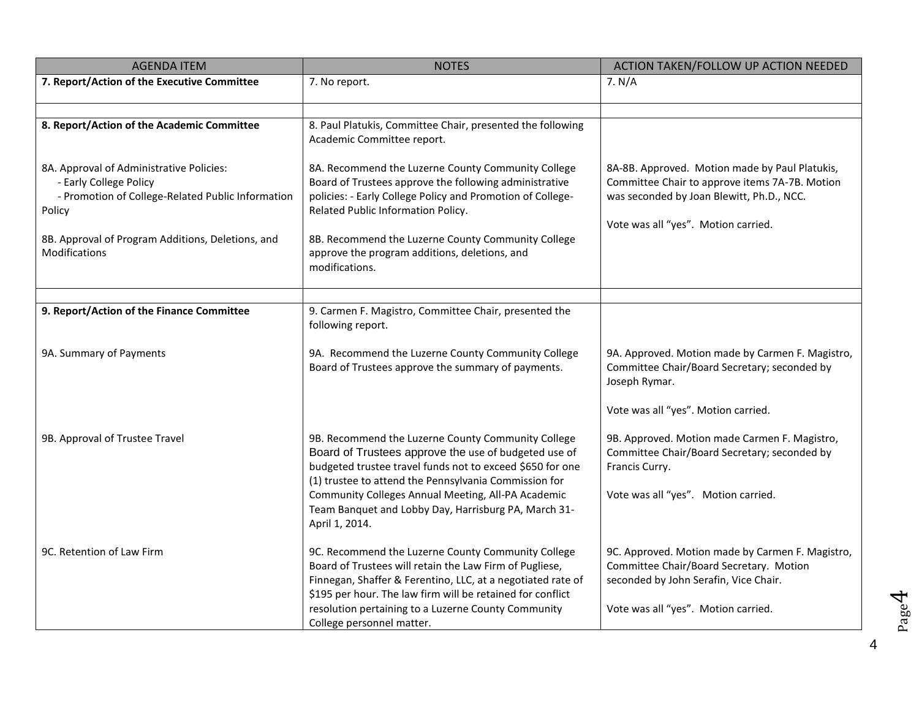| <b>AGENDA ITEM</b>                                                                                                                | <b>NOTES</b>                                                                                                                                                                                                                               | ACTION TAKEN/FOLLOW UP ACTION NEEDED                                                                                                                                                 |
|-----------------------------------------------------------------------------------------------------------------------------------|--------------------------------------------------------------------------------------------------------------------------------------------------------------------------------------------------------------------------------------------|--------------------------------------------------------------------------------------------------------------------------------------------------------------------------------------|
| 7. Report/Action of the Executive Committee                                                                                       | 7. No report.                                                                                                                                                                                                                              | 7. N/A                                                                                                                                                                               |
|                                                                                                                                   |                                                                                                                                                                                                                                            |                                                                                                                                                                                      |
| 8. Report/Action of the Academic Committee                                                                                        | 8. Paul Platukis, Committee Chair, presented the following<br>Academic Committee report.                                                                                                                                                   |                                                                                                                                                                                      |
| 8A. Approval of Administrative Policies:<br>- Early College Policy<br>- Promotion of College-Related Public Information<br>Policy | 8A. Recommend the Luzerne County Community College<br>Board of Trustees approve the following administrative<br>policies: - Early College Policy and Promotion of College-<br>Related Public Information Policy.                           | 8A-8B. Approved. Motion made by Paul Platukis,<br>Committee Chair to approve items 7A-7B. Motion<br>was seconded by Joan Blewitt, Ph.D., NCC.<br>Vote was all "yes". Motion carried. |
| 8B. Approval of Program Additions, Deletions, and<br><b>Modifications</b>                                                         | 8B. Recommend the Luzerne County Community College<br>approve the program additions, deletions, and<br>modifications.                                                                                                                      |                                                                                                                                                                                      |
|                                                                                                                                   |                                                                                                                                                                                                                                            |                                                                                                                                                                                      |
| 9. Report/Action of the Finance Committee                                                                                         | 9. Carmen F. Magistro, Committee Chair, presented the<br>following report.                                                                                                                                                                 |                                                                                                                                                                                      |
| 9A. Summary of Payments                                                                                                           | 9A. Recommend the Luzerne County Community College<br>Board of Trustees approve the summary of payments.                                                                                                                                   | 9A. Approved. Motion made by Carmen F. Magistro,<br>Committee Chair/Board Secretary; seconded by<br>Joseph Rymar.                                                                    |
|                                                                                                                                   |                                                                                                                                                                                                                                            | Vote was all "yes". Motion carried.                                                                                                                                                  |
| 9B. Approval of Trustee Travel                                                                                                    | 9B. Recommend the Luzerne County Community College<br>Board of Trustees approve the use of budgeted use of<br>budgeted trustee travel funds not to exceed \$650 for one<br>(1) trustee to attend the Pennsylvania Commission for           | 9B. Approved. Motion made Carmen F. Magistro,<br>Committee Chair/Board Secretary; seconded by<br>Francis Curry.                                                                      |
|                                                                                                                                   | Community Colleges Annual Meeting, All-PA Academic<br>Team Banquet and Lobby Day, Harrisburg PA, March 31-<br>April 1, 2014.                                                                                                               | Vote was all "yes". Motion carried.                                                                                                                                                  |
| 9C. Retention of Law Firm                                                                                                         | 9C. Recommend the Luzerne County Community College<br>Board of Trustees will retain the Law Firm of Pugliese,<br>Finnegan, Shaffer & Ferentino, LLC, at a negotiated rate of<br>\$195 per hour. The law firm will be retained for conflict | 9C. Approved. Motion made by Carmen F. Magistro,<br>Committee Chair/Board Secretary. Motion<br>seconded by John Serafin, Vice Chair.                                                 |
|                                                                                                                                   | resolution pertaining to a Luzerne County Community<br>College personnel matter.                                                                                                                                                           | Vote was all "yes". Motion carried.                                                                                                                                                  |